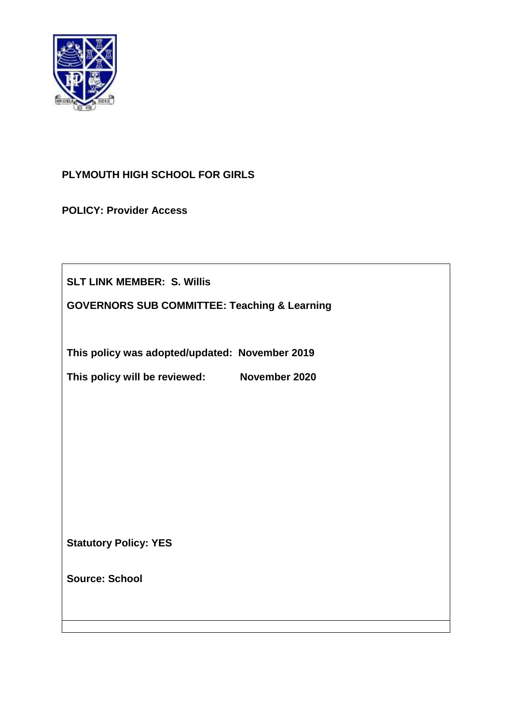

# **PLYMOUTH HIGH SCHOOL FOR GIRLS**

**POLICY: Provider Access**

**SLT LINK MEMBER: S. Willis**

**GOVERNORS SUB COMMITTEE: Teaching & Learning**

**This policy was adopted/updated: November 2019**

**This policy will be reviewed: November 2020**

**Statutory Policy: YES**

**Source: School**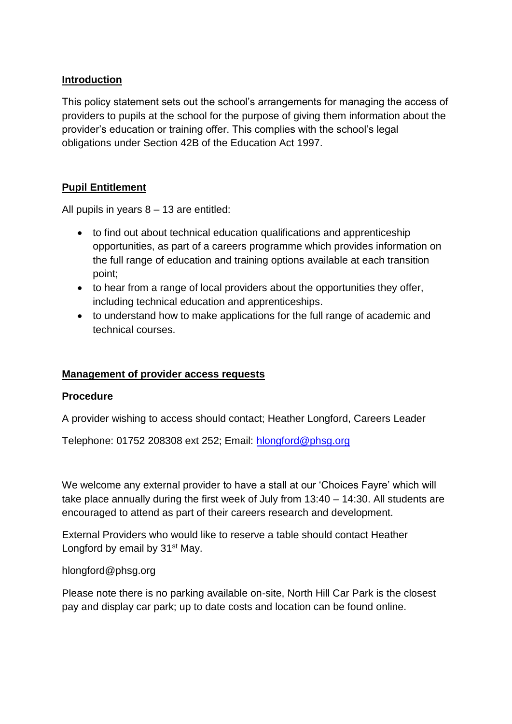### **Introduction**

This policy statement sets out the school's arrangements for managing the access of providers to pupils at the school for the purpose of giving them information about the provider's education or training offer. This complies with the school's legal obligations under Section 42B of the Education Act 1997.

## **Pupil Entitlement**

All pupils in years 8 – 13 are entitled:

- to find out about technical education qualifications and apprenticeship opportunities, as part of a careers programme which provides information on the full range of education and training options available at each transition point;
- to hear from a range of local providers about the opportunities they offer, including technical education and apprenticeships.
- to understand how to make applications for the full range of academic and technical courses.

## **Management of provider access requests**

#### **Procedure**

A provider wishing to access should contact; Heather Longford, Careers Leader

Telephone: 01752 208308 ext 252; Email: [hlongford@phsg.org](mailto:hlongford@phsg.org)

We welcome any external provider to have a stall at our 'Choices Fayre' which will take place annually during the first week of July from 13:40 – 14:30. All students are encouraged to attend as part of their careers research and development.

External Providers who would like to reserve a table should contact Heather Longford by email by 31<sup>st</sup> May.

#### hlongford@phsg.org

Please note there is no parking available on-site, North Hill Car Park is the closest pay and display car park; up to date costs and location can be found online.